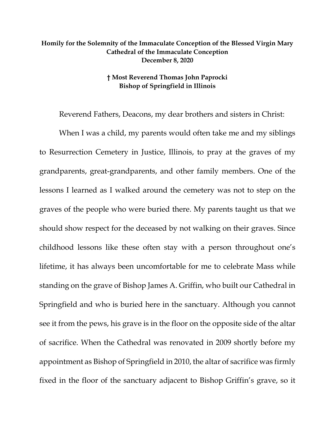## **Homily for the Solemnity of the Immaculate Conception of the Blessed Virgin Mary Cathedral of the Immaculate Conception December 8, 2020**

## **† Most Reverend Thomas John Paprocki Bishop of Springfield in Illinois**

Reverend Fathers, Deacons, my dear brothers and sisters in Christ:

When I was a child, my parents would often take me and my siblings to Resurrection Cemetery in Justice, Illinois, to pray at the graves of my grandparents, great-grandparents, and other family members. One of the lessons I learned as I walked around the cemetery was not to step on the graves of the people who were buried there. My parents taught us that we should show respect for the deceased by not walking on their graves. Since childhood lessons like these often stay with a person throughout one's lifetime, it has always been uncomfortable for me to celebrate Mass while standing on the grave of Bishop James A. Griffin, who built our Cathedral in Springfield and who is buried here in the sanctuary. Although you cannot see it from the pews, his grave is in the floor on the opposite side of the altar of sacrifice. When the Cathedral was renovated in 2009 shortly before my appointment as Bishop of Springfield in 2010, the altar of sacrifice was firmly fixed in the floor of the sanctuary adjacent to Bishop Griffin's grave, so it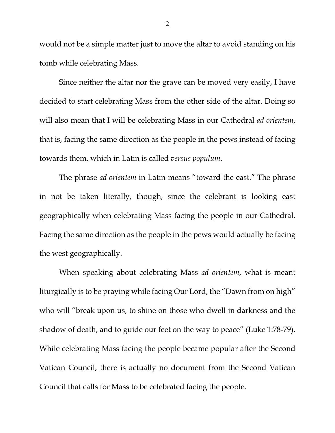would not be a simple matter just to move the altar to avoid standing on his tomb while celebrating Mass.

Since neither the altar nor the grave can be moved very easily, I have decided to start celebrating Mass from the other side of the altar. Doing so will also mean that I will be celebrating Mass in our Cathedral *ad orientem*, that is, facing the same direction as the people in the pews instead of facing towards them, which in Latin is called *versus populum*.

The phrase *ad orientem* in Latin means "toward the east." The phrase in not be taken literally, though, since the celebrant is looking east geographically when celebrating Mass facing the people in our Cathedral. Facing the same direction as the people in the pews would actually be facing the west geographically.

When speaking about celebrating Mass *ad orientem*, what is meant liturgically is to be praying while facing Our Lord, the "Dawn from on high" who will "break upon us, to shine on those who dwell in darkness and the shadow of death, and to guide our feet on the way to peace" (Luke 1:78-79). While celebrating Mass facing the people became popular after the Second Vatican Council, there is actually no document from the Second Vatican Council that calls for Mass to be celebrated facing the people.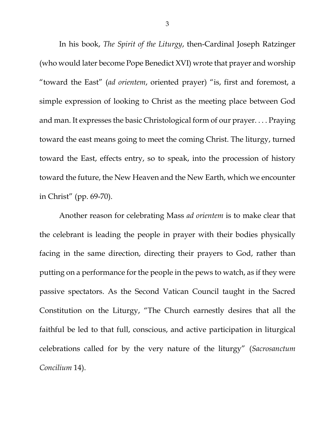In his book, *The Spirit of the Liturgy*, then-Cardinal Joseph Ratzinger (who would later become Pope Benedict XVI) wrote that prayer and worship "toward the East" (*ad orientem*, oriented prayer) "is, first and foremost, a simple expression of looking to Christ as the meeting place between God and man. It expresses the basic Christological form of our prayer. . . . Praying toward the east means going to meet the coming Christ. The liturgy, turned toward the East, effects entry, so to speak, into the procession of history toward the future, the New Heaven and the New Earth, which we encounter in Christ" (pp. 69-70).

Another reason for celebrating Mass *ad orientem* is to make clear that the celebrant is leading the people in prayer with their bodies physically facing in the same direction, directing their prayers to God, rather than putting on a performance for the people in the pews to watch, as if they were passive spectators. As the Second Vatican Council taught in the Sacred Constitution on the Liturgy, "The Church earnestly desires that all the faithful be led to that full, conscious, and active participation in liturgical celebrations called for by the very nature of the liturgy" (*Sacrosanctum Concilium* 14).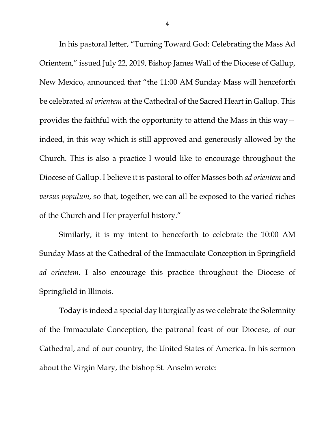In his pastoral letter, "Turning Toward God: Celebrating the Mass Ad Orientem," issued July 22, 2019, Bishop James Wall of the Diocese of Gallup, New Mexico, announced that "the 11:00 AM Sunday Mass will henceforth be celebrated *ad orientem* at the Cathedral of the Sacred Heart in Gallup. This provides the faithful with the opportunity to attend the Mass in this way indeed, in this way which is still approved and generously allowed by the Church. This is also a practice I would like to encourage throughout the Diocese of Gallup. I believe it is pastoral to offer Masses both *ad orientem* and *versus populum*, so that, together, we can all be exposed to the varied riches of the Church and Her prayerful history."

Similarly, it is my intent to henceforth to celebrate the 10:00 AM Sunday Mass at the Cathedral of the Immaculate Conception in Springfield *ad orientem*. I also encourage this practice throughout the Diocese of Springfield in Illinois.

Today is indeed a special day liturgically as we celebrate the Solemnity of the Immaculate Conception, the patronal feast of our Diocese, of our Cathedral, and of our country, the United States of America. In his sermon about the Virgin Mary, the bishop St. Anselm wrote:

4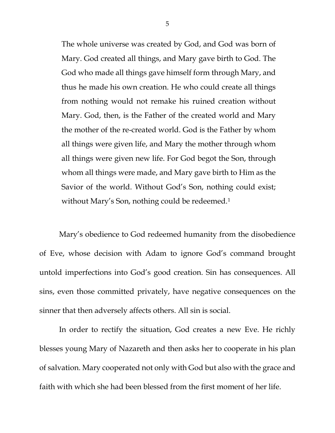The whole universe was created by God, and God was born of Mary. God created all things, and Mary gave birth to God. The God who made all things gave himself form through Mary, and thus he made his own creation. He who could create all things from nothing would not remake his ruined creation without Mary. God, then, is the Father of the created world and Mary the mother of the re-created world. God is the Father by whom all things were given life, and Mary the mother through whom all things were given new life. For God begot the Son, through whom all things were made, and Mary gave birth to Him as the Savior of the world. Without God's Son, nothing could exist; without Mary's Son, nothing could be redeemed.<sup>[1](#page-5-0)</sup>

Mary's obedience to God redeemed humanity from the disobedience of Eve, whose decision with Adam to ignore God's command brought untold imperfections into God's good creation. Sin has consequences. All sins, even those committed privately, have negative consequences on the sinner that then adversely affects others. All sin is social.

In order to rectify the situation, God creates a new Eve. He richly blesses young Mary of Nazareth and then asks her to cooperate in his plan of salvation. Mary cooperated not only with God but also with the grace and faith with which she had been blessed from the first moment of her life.

5